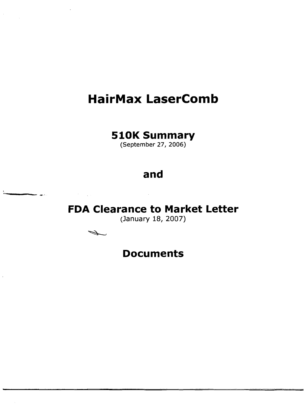# **HairMax LaserComb**

# **510K Summary**

(September 27, 2006)

# **and**

**FDA Clearance to Market Letter** 

(January 18, 2007)

Í

---..... '

# **Documents**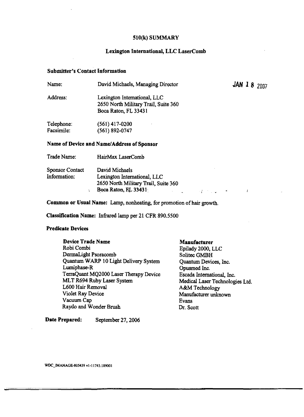### 510(k) SUMMARY

## Lexington International, LLC LaserComb

### Submitter's Contact Information

| Name:       | David Michaels, Managing Director                                    | <b>JAN 18</b> $2007$ |
|-------------|----------------------------------------------------------------------|----------------------|
| Address:    | Lexington International, LLC<br>2650 North Military Trail, Suite 360 |                      |
|             | Boca Raton, FL 33431                                                 |                      |
| Telephone:  | (561) 417-0200                                                       |                      |
| Facsimile:  | (561) 892-0747                                                       |                      |
|             | Name of Device and Name/Address of Sponsor                           |                      |
| Trade Name: | HairMax LaserComb                                                    |                      |

| Sponsor Contact | David Michaels                       |  |
|-----------------|--------------------------------------|--|
| Information:    | Lexington International, LLC         |  |
|                 | 2650 North Military Trail, Suite 360 |  |
|                 | Boca Raton, FL 33431                 |  |

Common or Usual Name: Lamp, nonheating, for promotion of hair growth.

Classification Name: Infrared lamp per 21 CFR 890.5500

# Predicate Devices

| Device Trade Name                      |
|----------------------------------------|
| Robi Combi                             |
| DermaLight Psoracomb                   |
| Quantum WARP 10 Light Delivery System  |
| Lumiphase-R                            |
| TerraQuant MQ2000 Laser Therapy Device |
| MLT R694 Ruby Laser System             |
| L600 Hair Removal                      |
| Violet Ray Device                      |
| Vacuum Cap                             |
| Raydo and Wonder Brush                 |

Manufacturer Epilady 2000, LLC

Solitec GMBH Quantum Devices, Inc. Opusmed Inc. Escada International, Inc. Medical Laser Technologies Ltd. A&M Technology Manufacturer unknown Evans Dr. Scott

 $\mathcal{A}^{\text{max}}_{\text{max}}$  , where  $\mathcal{A}^{\text{max}}_{\text{max}}$ 

 $\bar{I}$ 

Date Prepared: September 27, 2006

WDC\_IMANAGE-805439 vl·11743.189001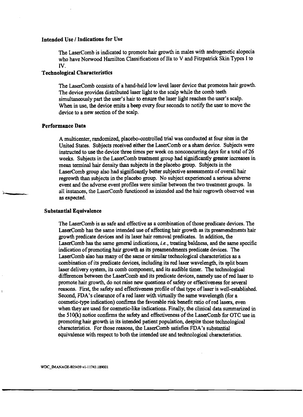### Intended Use I Indications for Use

The LaserComb is indicated to promote hair growth in males with androgenetic alopecia who have Norwood Hamilton Classifications of IIa to V and Fitzpatrick Skin Types I to IV.

### Technological Characteristics

The LaserComb consists of a hand-held low level laser device that promotes hair growth. The device provides distributed laser light to the scalp while the comb teeth simultaneously part the user's hair to ensure the laser light reaches the user's scalp. When in use, the device emits a beep every four seconds to notify the user to move the device to a new section of the scalp.

#### Performance Data

A multicenter, randomized, placebo-controlled trial was conducted at four sites in the United States. Subjects received either the LaserComb or a sham device. Subjects were instructed to use the device three times per week on nonconcurring days for a total of 26 weeks. Subjects in the LaserComb treatment group had significantly greater increases in mean terminal hair density than subjects in the placebo group. Subjects in the LaserComb group also had significantly better subjective assessments of overall hair regrowth than subjects in the placebo group. No subject experienced a serious adverse event and the adverse event profiles were similar between the two treatment groups. In all instances, the LaserComb functioned as intended and the hair regrowth observed was as expected.

#### Substantial Equivalence

The LaserComb is as safe and effective as a combination of those predicate devices. The LaserComb has the same intended use of affecting hair growth as its preamendments hair growth predicate devices and its laser hair removal predicates. In addition, the LaserComb has the same general indications, *i.e.,* treating baldness, and the same specific indication of promoting hair growth as its preamendments predicate devices. The LaserComb also has many of the same or similar technological characteristics as a combination of its predicate devices, including its red laser wavelength, its split beam laser delivery system, its comb component, and its audible timer. The technological differences between the LaserComb and its predicate devices, namely use ofred laser to promote hair growth, do not raise new questions of safety or effectiveness for several reasons. First, the safety and effectiveness profile of that type of laser is well-established. Second, FDA's clearance of a red laser with virtually the same wavelength (for a cosmetic-type indication) confirms the favorable risk benefit ratio ofred lasers, even when they are used for cosmetic-like indications. Finally, the clinical data summarized in the  $510(k)$  notice confirms the safety and effectiveness of the LaserComb for OTC use in promoting hair growth in its intended patient population, despite those technological characteristics. For those reasons, the LaserComb satisfies FDA's substantial equivalence with respect to both the intended use and technological characteristics.

WOC\_IMANAGE-805439 vl-l 1743.189001